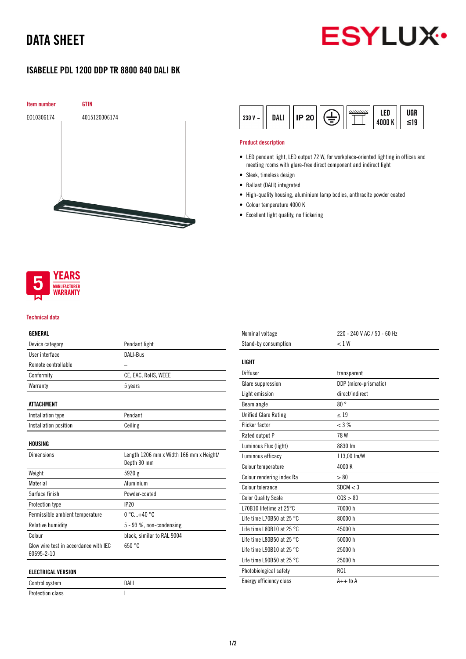# DATA SHEET



## ISABELLE PDL 1200 DDP TR 8800 840 DALI BK



| DAL.<br>IP 20<br>$230 V -$ |  | 4000 K | UGR<br>≤19 |
|----------------------------|--|--------|------------|
|----------------------------|--|--------|------------|

### Product description

- LED pendant light, LED output 72 W, for workplace-oriented lighting in offices and meeting rooms with glare-free direct component and indirect light
- Sleek, timeless design
- Ballast (DALI) integrated
- High-quality housing, aluminium lamp bodies, anthracite powder coated
- Colour temperature 4000 K
- Excellent light quality, no flickering



#### Technical data

### GENERAL

| Device category                       | Pendant light                           |
|---------------------------------------|-----------------------------------------|
| User interface                        | DALI-Bus                                |
| Remote controllable                   |                                         |
| Conformity                            | CE, EAC, RoHS, WEEE                     |
| Warranty                              | 5 years                                 |
|                                       |                                         |
| <b>ATTACHMENT</b>                     |                                         |
| Installation type                     | Pendant                                 |
| Installation position                 | Ceiling                                 |
|                                       |                                         |
| HOUSING                               |                                         |
| <b>Dimensions</b>                     | Length 1206 mm x Width 166 mm x Height/ |
|                                       | Depth 30 mm                             |
| Weight                                | 5920 g                                  |
| Material                              | Aluminium                               |
| Surface finish                        | Powder-coated                           |
| Protection type                       | IP20                                    |
| Permissible ambient temperature       | $0^{\circ}$ C $+40^{\circ}$ C           |
| Relative humidity                     | 5 - 93 %, non-condensing                |
| Colour                                | black, similar to RAL 9004              |
| Glow wire test in accordance with IEC | 650 °C                                  |
| 60695-2-10                            |                                         |
| <b>ELECTRICAL VERSION</b>             |                                         |
| Control system                        | DALI                                    |
| <b>Protection class</b>               | ı                                       |

| Nominal voltage                     | 220 - 240 V AC / 50 - 60 Hz |
|-------------------------------------|-----------------------------|
| Stand-by consumption                | < 1 W                       |
| LIGHT                               |                             |
| Diffusor                            | transparent                 |
| Glare suppression                   | DDP (micro-prismatic)       |
| Light emission                      | direct/indirect             |
| Beam angle                          | 80°                         |
| <b>Unified Glare Rating</b>         | $\leq 19$                   |
| <b>Flicker factor</b>               | $<$ 3 %                     |
| Rated output P                      | 78W                         |
| Luminous Flux (light)               | 8830 lm                     |
| Luminous efficacy                   | 113,00 lm/W                 |
| Colour temperature                  | 4000 K                      |
| Colour rendering index Ra           | > 80                        |
| Colour tolerance                    | SDCM < 3                    |
| <b>Color Quality Scale</b>          | COS > 80                    |
| L70B10 lifetime at $25^{\circ}$ C   | 70000 h                     |
| Life time L70B50 at 25 $^{\circ}$ C | 80000 h                     |
| Life time L80B10 at 25 $^{\circ}$ C | 45000 h                     |
| Life time L80B50 at 25 $^{\circ}$ C | 50000 h                     |
| Life time L90B10 at 25 $^{\circ}$ C | 25000 h                     |
| Life time L90B50 at 25 $^{\circ}$ C | 25000 h                     |
| Photobiological safety              | RG1                         |
| Energy efficiency class             | $A++$ to $A$                |
|                                     |                             |